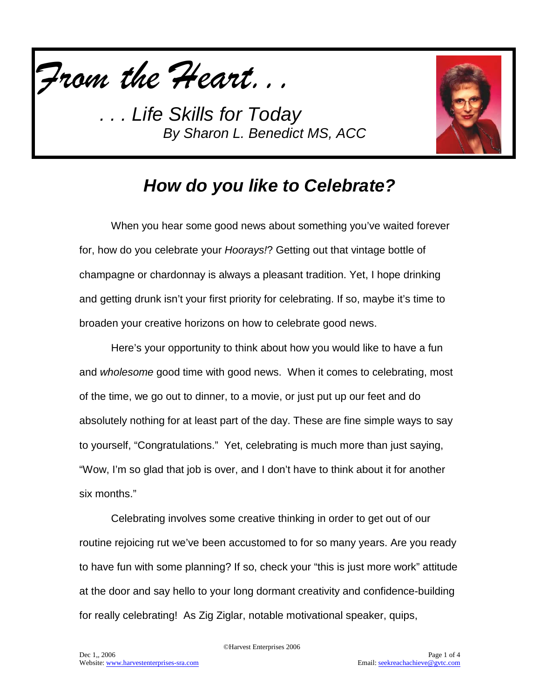



## *How do you like to Celebrate?*

When you hear some good news about something you've waited forever for, how do you celebrate your *Hoorays!*? Getting out that vintage bottle of champagne or chardonnay is always a pleasant tradition. Yet, I hope drinking and getting drunk isn't your first priority for celebrating. If so, maybe it's time to broaden your creative horizons on how to celebrate good news.

Here's your opportunity to think about how you would like to have a fun and *wholesome* good time with good news. When it comes to celebrating, most of the time, we go out to dinner, to a movie, or just put up our feet and do absolutely nothing for at least part of the day. These are fine simple ways to say to yourself, "Congratulations." Yet, celebrating is much more than just saying, "Wow, I'm so glad that job is over, and I don't have to think about it for another six months."

Celebrating involves some creative thinking in order to get out of our routine rejoicing rut we've been accustomed to for so many years. Are you ready to have fun with some planning? If so, check your "this is just more work" attitude at the door and say hello to your long dormant creativity and confidence-building for really celebrating! As Zig Ziglar, notable motivational speaker, quips,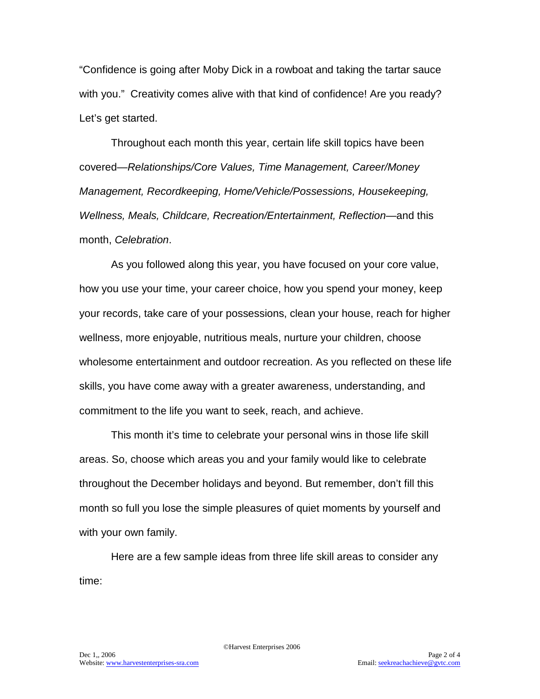"Confidence is going after Moby Dick in a rowboat and taking the tartar sauce with you." Creativity comes alive with that kind of confidence! Are you ready? Let's get started.

Throughout each month this year, certain life skill topics have been covered—*Relationships/Core Values, Time Management, Career/Money Management, Recordkeeping, Home/Vehicle/Possessions, Housekeeping, Wellness, Meals, Childcare, Recreation/Entertainment, Reflection—*and this month, *Celebration*.

As you followed along this year, you have focused on your core value, how you use your time, your career choice, how you spend your money, keep your records, take care of your possessions, clean your house, reach for higher wellness, more enjoyable, nutritious meals, nurture your children, choose wholesome entertainment and outdoor recreation. As you reflected on these life skills, you have come away with a greater awareness, understanding, and commitment to the life you want to seek, reach, and achieve.

This month it's time to celebrate your personal wins in those life skill areas. So, choose which areas you and your family would like to celebrate throughout the December holidays and beyond. But remember, don't fill this month so full you lose the simple pleasures of quiet moments by yourself and with your own family.

Here are a few sample ideas from three life skill areas to consider any time: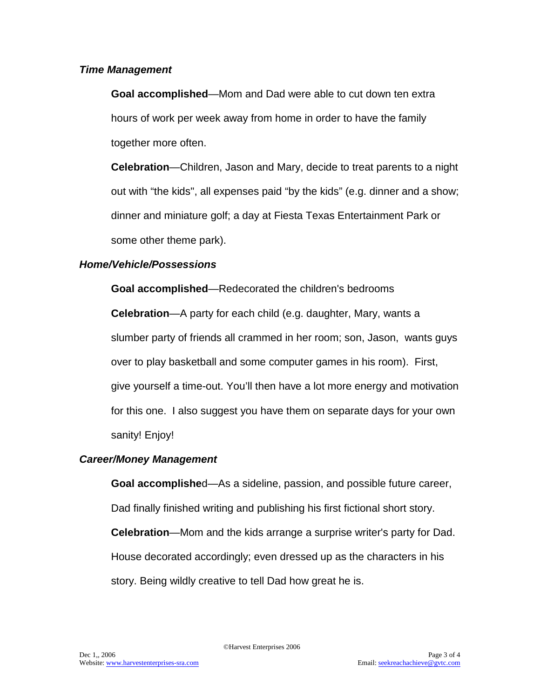### *Time Management*

**Goal accomplished**—Mom and Dad were able to cut down ten extra hours of work per week away from home in order to have the family together more often.

**Celebration**—Children, Jason and Mary, decide to treat parents to a night out with "the kids", all expenses paid "by the kids" (e.g. dinner and a show; dinner and miniature golf; a day at Fiesta Texas Entertainment Park or some other theme park).

### *Home/Vehicle/Possessions*

**Goal accomplished**—Redecorated the children's bedrooms

**Celebration**—A party for each child (e.g. daughter, Mary, wants a slumber party of friends all crammed in her room; son, Jason, wants guys over to play basketball and some computer games in his room). First, give yourself a time-out. You'll then have a lot more energy and motivation for this one. I also suggest you have them on separate days for your own sanity! Enjoy!

### *Career/Money Management*

**Goal accomplishe**d—As a sideline, passion, and possible future career, Dad finally finished writing and publishing his first fictional short story. **Celebration**—Mom and the kids arrange a surprise writer's party for Dad. House decorated accordingly; even dressed up as the characters in his story. Being wildly creative to tell Dad how great he is.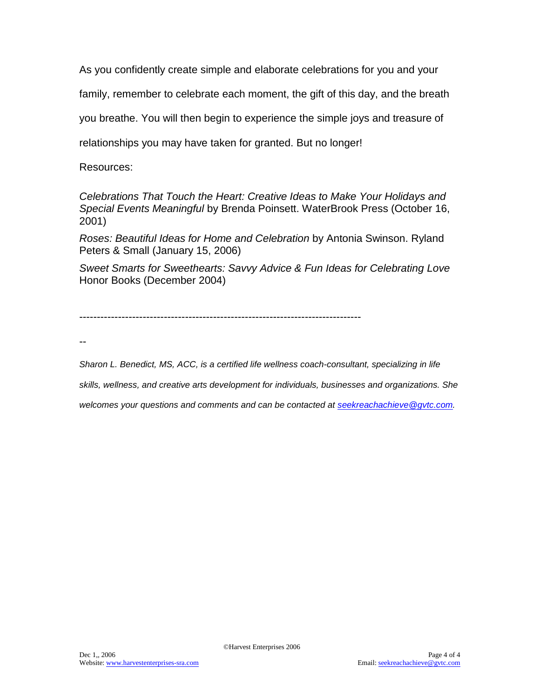As you confidently create simple and elaborate celebrations for you and your

family, remember to celebrate each moment, the gift of this day, and the breath

you breathe. You will then begin to experience the simple joys and treasure of

relationships you may have taken for granted. But no longer!

Resources:

*Celebrations That Touch the Heart: Creative Ideas to Make Your Holidays and Special Events Meaningful* by Brenda Poinsett. WaterBrook Press (October 16, 2001)

*Roses: Beautiful Ideas for Home and Celebration* by Antonia Swinson. Ryland Peters & Small (January 15, 2006)

*Sweet Smarts for Sweethearts: Savvy Advice & Fun Ideas for Celebrating Love* Honor Books (December 2004)

--------------------------------------------------------------------------------

--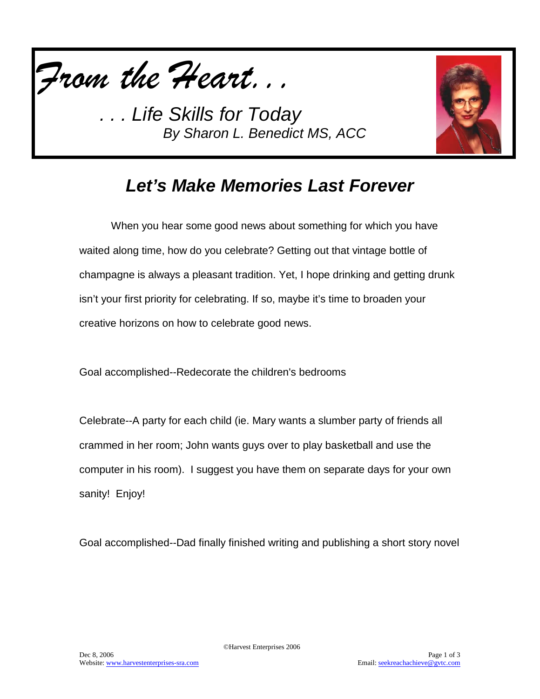



## *Let's Make Memories Last Forever*

When you hear some good news about something for which you have waited along time, how do you celebrate? Getting out that vintage bottle of champagne is always a pleasant tradition. Yet, I hope drinking and getting drunk isn't your first priority for celebrating. If so, maybe it's time to broaden your creative horizons on how to celebrate good news.

Goal accomplished--Redecorate the children's bedrooms

Celebrate--A party for each child (ie. Mary wants a slumber party of friends all crammed in her room; John wants guys over to play basketball and use the computer in his room). I suggest you have them on separate days for your own sanity! Enjoy!

Goal accomplished--Dad finally finished writing and publishing a short story novel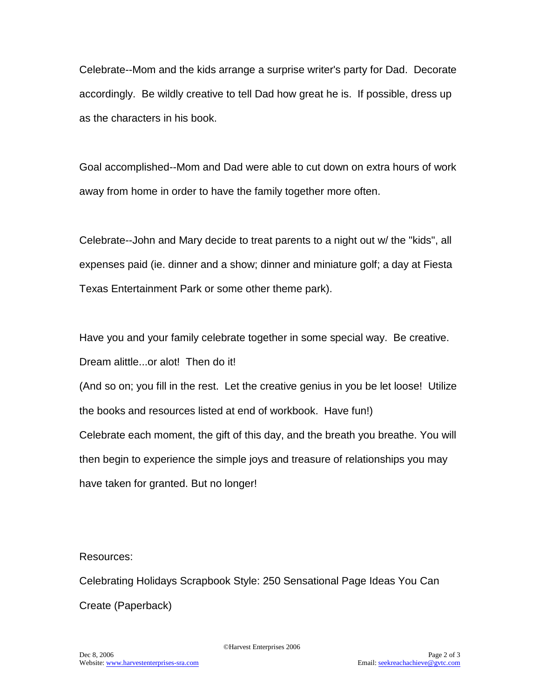Celebrate--Mom and the kids arrange a surprise writer's party for Dad. Decorate accordingly. Be wildly creative to tell Dad how great he is. If possible, dress up as the characters in his book.

Goal accomplished--Mom and Dad were able to cut down on extra hours of work away from home in order to have the family together more often.

Celebrate--John and Mary decide to treat parents to a night out w/ the "kids", all expenses paid (ie. dinner and a show; dinner and miniature golf; a day at Fiesta Texas Entertainment Park or some other theme park).

Have you and your family celebrate together in some special way. Be creative. Dream alittle...or alot! Then do it!

(And so on; you fill in the rest. Let the creative genius in you be let loose! Utilize the books and resources listed at end of workbook. Have fun!) Celebrate each moment, the gift of this day, and the breath you breathe. You will then begin to experience the simple joys and treasure of relationships you may have taken for granted. But no longer!

Resources:

Celebrating Holidays Scrapbook Style: 250 Sensational Page Ideas You Can Create (Paperback)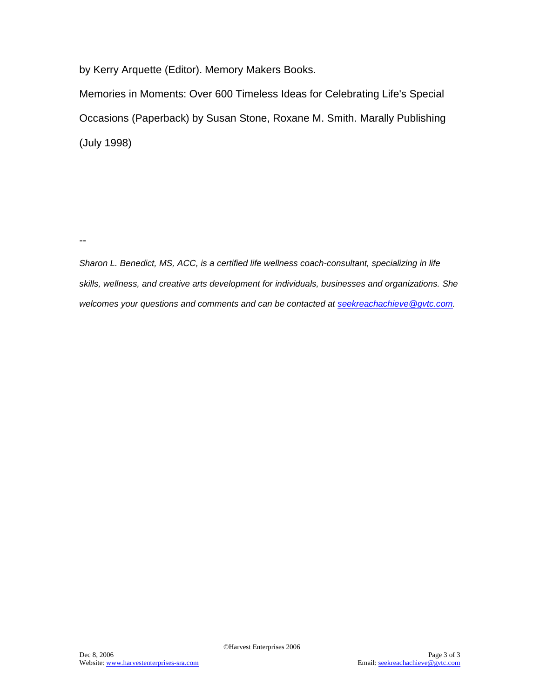by Kerry Arquette (Editor). Memory Makers Books.

Memories in Moments: Over 600 Timeless Ideas for Celebrating Life's Special Occasions (Paperback) by Susan Stone, Roxane M. Smith. Marally Publishing (July 1998)

--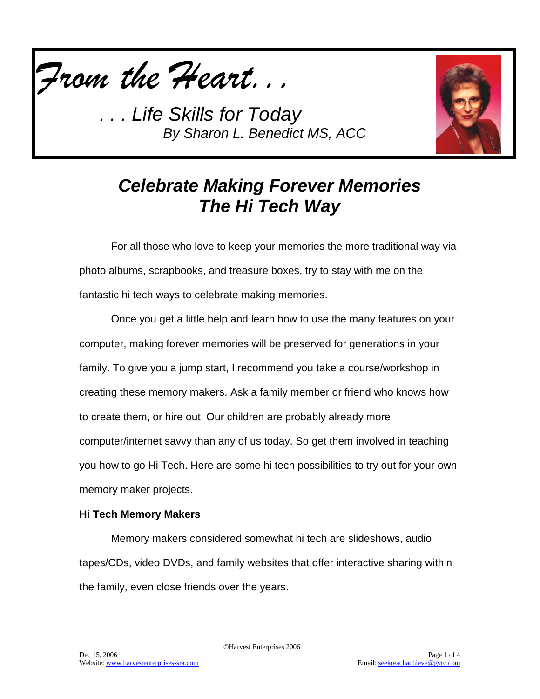



# *Celebrate Making Forever Memories The Hi Tech Way*

For all those who love to keep your memories the more traditional way via photo albums, scrapbooks, and treasure boxes, try to stay with me on the fantastic hi tech ways to celebrate making memories.

Once you get a little help and learn how to use the many features on your computer, making forever memories will be preserved for generations in your family. To give you a jump start, I recommend you take a course/workshop in creating these memory makers. Ask a family member or friend who knows how to create them, or hire out. Our children are probably already more computer/internet savvy than any of us today. So get them involved in teaching you how to go Hi Tech. Here are some hi tech possibilities to try out for your own memory maker projects.

### **Hi Tech Memory Makers**

Memory makers considered somewhat hi tech are slideshows, audio tapes/CDs, video DVDs, and family websites that offer interactive sharing within the family, even close friends over the years.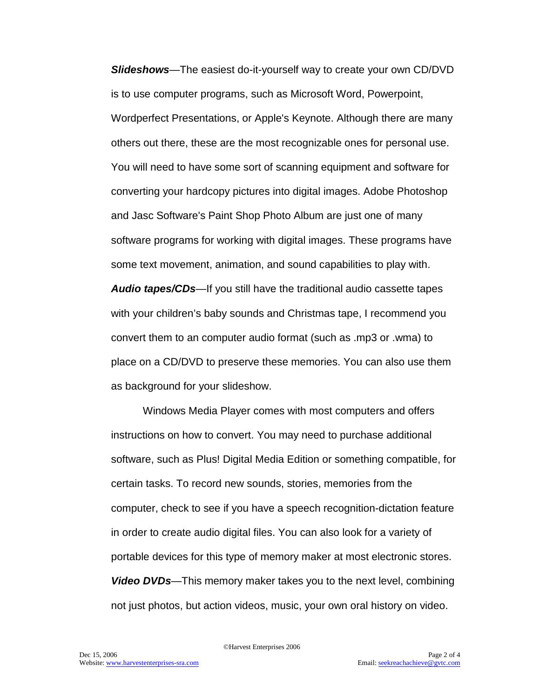*Slideshows*—The easiest do-it-yourself way to create your own CD/DVD is to use computer programs, such as Microsoft Word, Powerpoint, Wordperfect Presentations, or Apple's Keynote. Although there are many others out there, these are the most recognizable ones for personal use. You will need to have some sort of scanning equipment and software for converting your hardcopy pictures into digital images. Adobe Photoshop and Jasc Software's Paint Shop Photo Album are just one of many software programs for working with digital images. These programs have some text movement, animation, and sound capabilities to play with. *Audio tapes/CDs—*If you still have the traditional audio cassette tapes with your children's baby sounds and Christmas tape, I recommend you convert them to an computer audio format (such as .mp3 or .wma) to place on a CD/DVD to preserve these memories. You can also use them as background for your slideshow.

Windows Media Player comes with most computers and offers instructions on how to convert. You may need to purchase additional software, such as Plus! Digital Media Edition or something compatible, for certain tasks. To record new sounds, stories, memories from the computer, check to see if you have a speech recognition-dictation feature in order to create audio digital files. You can also look for a variety of portable devices for this type of memory maker at most electronic stores. *Video DVDs—*This memory maker takes you to the next level, combining not just photos, but action videos, music, your own oral history on video.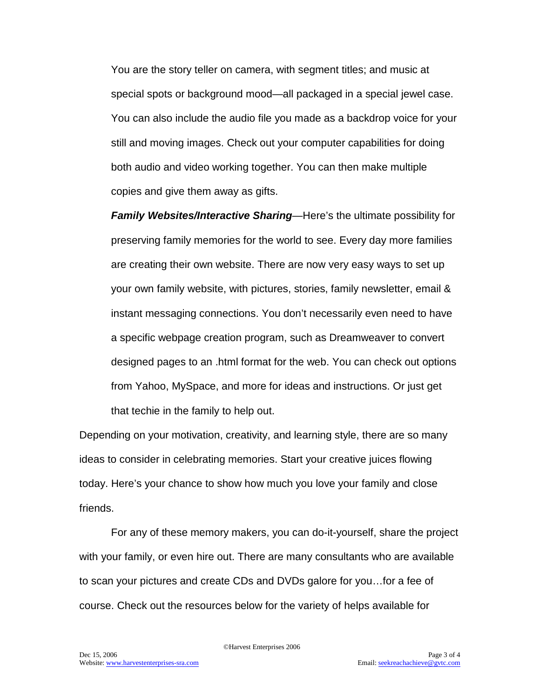You are the story teller on camera, with segment titles; and music at special spots or background mood—all packaged in a special jewel case. You can also include the audio file you made as a backdrop voice for your still and moving images. Check out your computer capabilities for doing both audio and video working together. You can then make multiple copies and give them away as gifts.

*Family Websites/Interactive Sharing—*Here's the ultimate possibility for preserving family memories for the world to see. Every day more families are creating their own website. There are now very easy ways to set up your own family website, with pictures, stories, family newsletter, email & instant messaging connections. You don't necessarily even need to have a specific webpage creation program, such as Dreamweaver to convert designed pages to an .html format for the web. You can check out options from Yahoo, MySpace, and more for ideas and instructions. Or just get that techie in the family to help out.

Depending on your motivation, creativity, and learning style, there are so many ideas to consider in celebrating memories. Start your creative juices flowing today. Here's your chance to show how much you love your family and close friends.

For any of these memory makers, you can do-it-yourself, share the project with your family, or even hire out. There are many consultants who are available to scan your pictures and create CDs and DVDs galore for you…for a fee of course. Check out the resources below for the variety of helps available for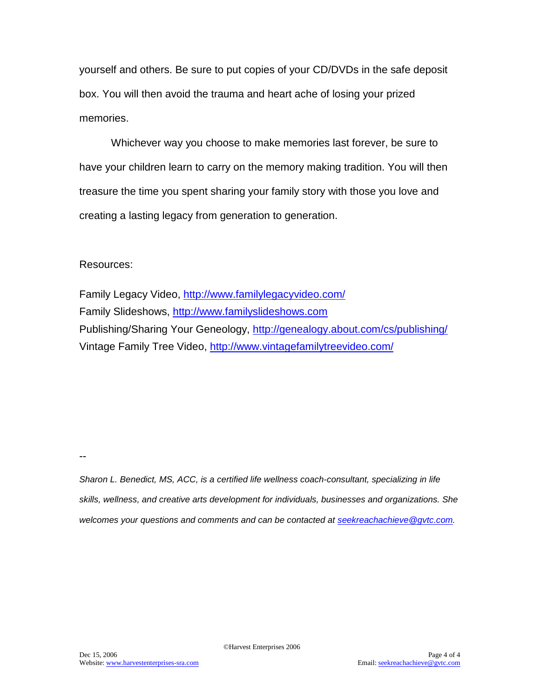yourself and others. Be sure to put copies of your CD/DVDs in the safe deposit box. You will then avoid the trauma and heart ache of losing your prized memories.

Whichever way you choose to make memories last forever, be sure to have your children learn to carry on the memory making tradition. You will then treasure the time you spent sharing your family story with those you love and creating a lasting legacy from generation to generation.

### Resources:

Family Legacy Video,<http://www.familylegacyvideo.com/> Family Slideshows, [http://www.familyslideshows.com](http://www.familyslideshows.com/) Publishing/Sharing Your Geneology,<http://genealogy.about.com/cs/publishing/> Vintage Family Tree Video,<http://www.vintagefamilytreevideo.com/>

--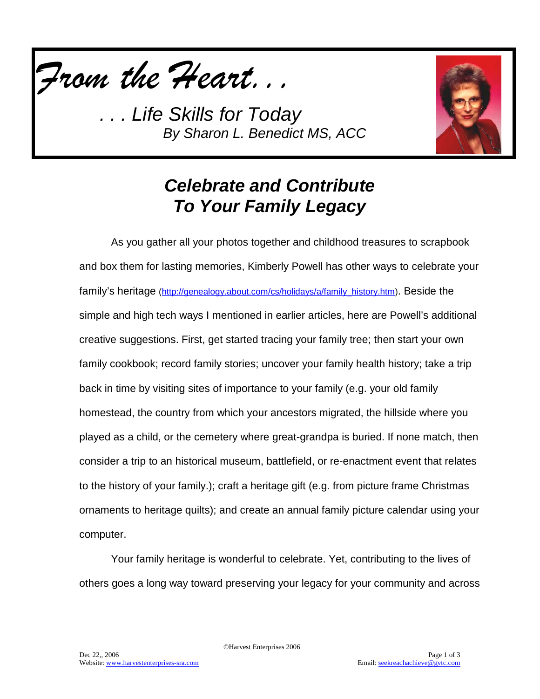



# *Celebrate and Contribute To Your Family Legacy*

As you gather all your photos together and childhood treasures to scrapbook and box them for lasting memories, Kimberly Powell has other ways to celebrate your family's heritage [\(http://genealogy.about.com/cs/holidays/a/family\\_history.htm\)](http://genealogy.about.com/cs/holidays/a/family_history.htm). Beside the simple and high tech ways I mentioned in earlier articles, here are Powell's additional creative suggestions. First, get started tracing your family tree; then start your own family cookbook; record family stories; uncover your family health history; take a trip back in time by visiting sites of importance to your family (e.g. your old family homestead, the country from which your ancestors migrated, the hillside where you played as a child, or the cemetery where great-grandpa is buried. If none match, then consider a trip to an historical museum, battlefield, or re-enactment event that relates to the history of your family.); craft a heritage gift (e.g. from picture frame Christmas ornaments to heritage quilts); and create an annual family picture calendar using your computer.

Your family heritage is wonderful to celebrate. Yet, contributing to the lives of others goes a long way toward preserving your legacy for your community and across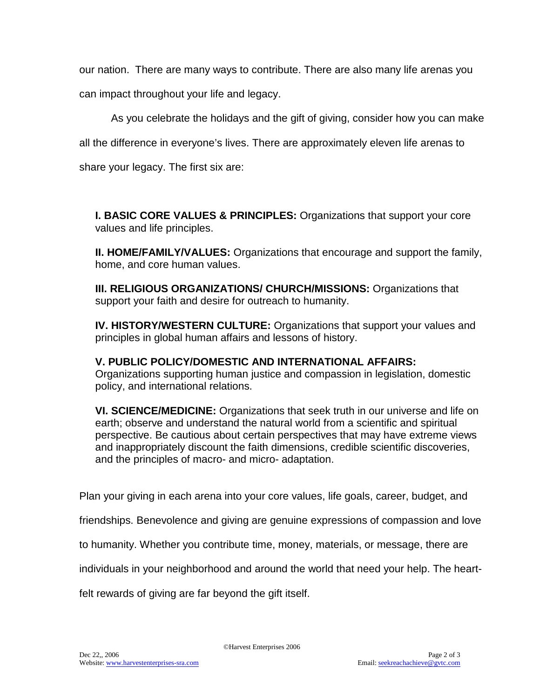our nation. There are many ways to contribute. There are also many life arenas you

can impact throughout your life and legacy.

As you celebrate the holidays and the gift of giving, consider how you can make

all the difference in everyone's lives. There are approximately eleven life arenas to

share your legacy. The first six are:

**I. BASIC CORE VALUES & PRINCIPLES:** Organizations that support your core values and life principles.

**II. HOME/FAMILY/VALUES:** Organizations that encourage and support the family, home, and core human values.

**III. RELIGIOUS ORGANIZATIONS/ CHURCH/MISSIONS:** Organizations that support your faith and desire for outreach to humanity.

**IV. HISTORY/WESTERN CULTURE:** Organizations that support your values and principles in global human affairs and lessons of history.

**V. PUBLIC POLICY/DOMESTIC AND INTERNATIONAL AFFAIRS:**  Organizations supporting human justice and compassion in legislation, domestic policy, and international relations.

**VI. SCIENCE/MEDICINE:** Organizations that seek truth in our universe and life on earth; observe and understand the natural world from a scientific and spiritual perspective. Be cautious about certain perspectives that may have extreme views and inappropriately discount the faith dimensions, credible scientific discoveries, and the principles of macro- and micro- adaptation.

Plan your giving in each arena into your core values, life goals, career, budget, and

friendships. Benevolence and giving are genuine expressions of compassion and love

to humanity. Whether you contribute time, money, materials, or message, there are

individuals in your neighborhood and around the world that need your help. The heart-

felt rewards of giving are far beyond the gift itself.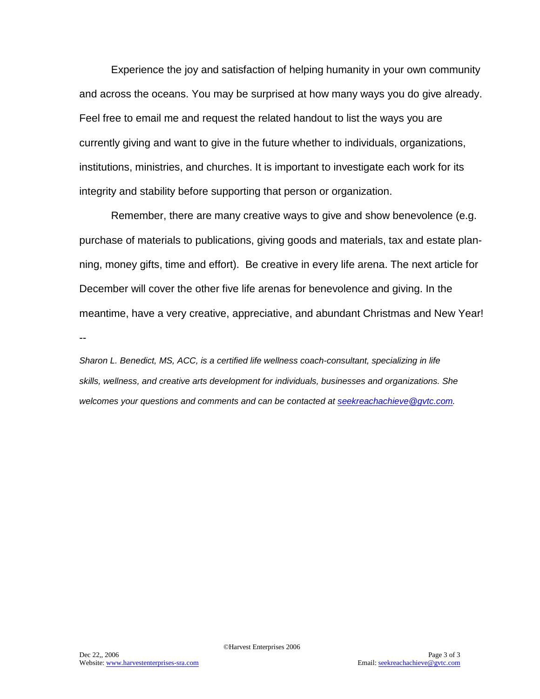Experience the joy and satisfaction of helping humanity in your own community and across the oceans. You may be surprised at how many ways you do give already. Feel free to email me and request the related handout to list the ways you are currently giving and want to give in the future whether to individuals, organizations, institutions, ministries, and churches. It is important to investigate each work for its integrity and stability before supporting that person or organization.

Remember, there are many creative ways to give and show benevolence (e.g. purchase of materials to publications, giving goods and materials, tax and estate planning, money gifts, time and effort). Be creative in every life arena. The next article for December will cover the other five life arenas for benevolence and giving. In the meantime, have a very creative, appreciative, and abundant Christmas and New Year! --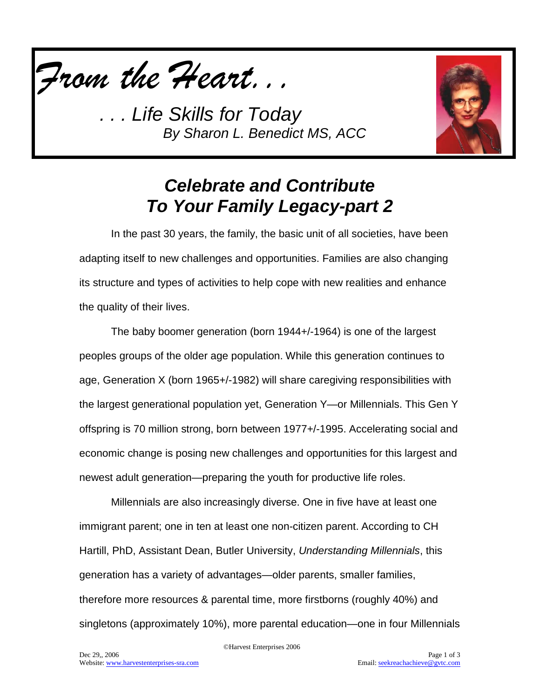



# *Celebrate and Contribute To Your Family Legacy-part 2*

In the past 30 years, the family, the basic unit of all societies, have been adapting itself to new challenges and opportunities. Families are also changing its structure and types of activities to help cope with new realities and enhance the quality of their lives.

The baby boomer generation (born 1944+/-1964) is one of the largest peoples groups of the older age population. While this generation continues to age, Generation X (born 1965+/-1982) will share caregiving responsibilities with the largest generational population yet, Generation Y—or Millennials. This Gen Y offspring is 70 million strong, born between 1977+/-1995. Accelerating social and economic change is posing new challenges and opportunities for this largest and newest adult generation—preparing the youth for productive life roles.

Millennials are also increasingly diverse. One in five have at least one immigrant parent; one in ten at least one non-citizen parent. According to CH Hartill, PhD, Assistant Dean, Butler University, *Understanding Millennials*, this generation has a variety of advantages—older parents, smaller families, therefore more resources & parental time, more firstborns (roughly 40%) and singletons (approximately 10%), more parental education—one in four Millennials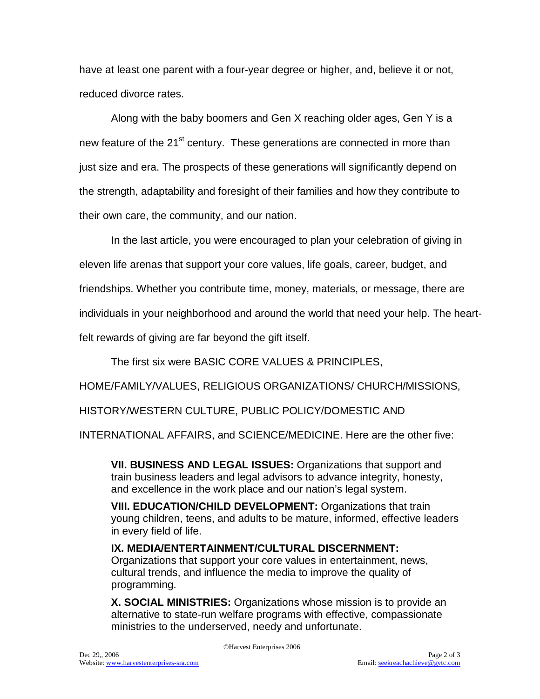have at least one parent with a four-year degree or higher, and, believe it or not, reduced divorce rates.

Along with the baby boomers and Gen X reaching older ages, Gen Y is a new feature of the 21<sup>st</sup> century. These generations are connected in more than just size and era. The prospects of these generations will significantly depend on the strength, adaptability and foresight of their families and how they contribute to their own care, the community, and our nation.

In the last article, you were encouraged to plan your celebration of giving in eleven life arenas that support your core values, life goals, career, budget, and friendships. Whether you contribute time, money, materials, or message, there are individuals in your neighborhood and around the world that need your help. The heartfelt rewards of giving are far beyond the gift itself.

The first six were BASIC CORE VALUES & PRINCIPLES,

HOME/FAMILY/VALUES, RELIGIOUS ORGANIZATIONS/ CHURCH/MISSIONS,

HISTORY/WESTERN CULTURE, PUBLIC POLICY/DOMESTIC AND

INTERNATIONAL AFFAIRS, and SCIENCE/MEDICINE. Here are the other five:

**VII. BUSINESS AND LEGAL ISSUES:** Organizations that support and train business leaders and legal advisors to advance integrity, honesty, and excellence in the work place and our nation's legal system.

**VIII. EDUCATION/CHILD DEVELOPMENT:** Organizations that train young children, teens, and adults to be mature, informed, effective leaders in every field of life.

**IX. MEDIA/ENTERTAINMENT/CULTURAL DISCERNMENT:**  Organizations that support your core values in entertainment, news, cultural trends, and influence the media to improve the quality of programming.

**X. SOCIAL MINISTRIES:** Organizations whose mission is to provide an alternative to state-run welfare programs with effective, compassionate ministries to the underserved, needy and unfortunate.

©Harvest Enterprises 2006